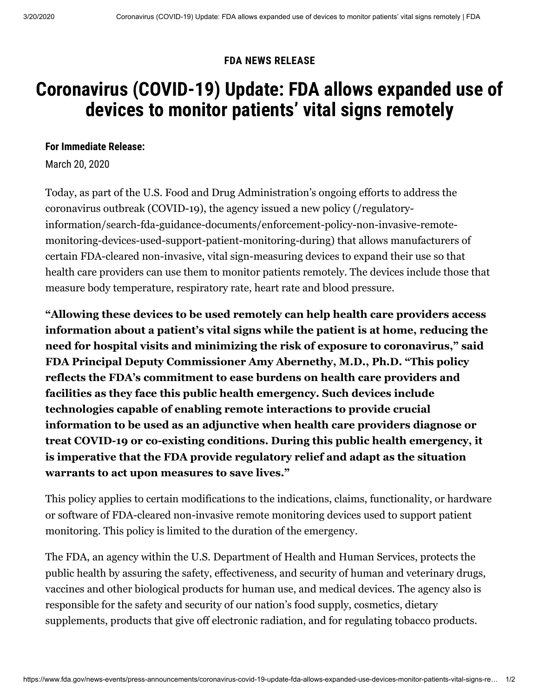## **FDA NEWS RELEASE**

# **Coronavirus (COVID-19) Update: FDA allows expanded use of devices to monitor patients' vital signs remotely**

### **For Immediate Release:**

March 20, 2020

Today, as part of the U.S. Food and Drug Administration's ongoing efforts to address the coronavirus outbreak (COVID-19), the agency issued a new policy (/regulatoryinformation/search-fda-guidance-documents/enforcement-policy-non-invasive-remote[monitoring-devices-used-support-patient-monitoring-during\) that allows manufacturers](https://www.fda.gov/regulatory-information/search-fda-guidance-documents/enforcement-policy-non-invasive-remote-monitoring-devices-used-support-patient-monitoring-during) of certain FDA-cleared non-invasive, vital sign-measuring devices to expand their use so that health care providers can use them to monitor patients remotely. The devices include those that measure body temperature, respiratory rate, heart rate and blood pressure.

**"Allowing these devices to be used remotely can help health care providers access information about a patient's vital signs while the patient is at home, reducing the need for hospital visits and minimizing the risk of exposure to coronavirus," said FDA Principal Deputy Commissioner Amy Abernethy, M.D., Ph.D. "This policy reflects the FDA's commitment to ease burdens on health care providers and facilities as they face this public health emergency. Such devices include technologies capable of enabling remote interactions to provide crucial information to be used as an adjunctive when health care providers diagnose or treat COVID-19 or co-existing conditions. During this public health emergency, it is imperative that the FDA provide regulatory relief and adapt as the situation warrants to act upon measures to save lives."**

This policy applies to certain modifications to the indications, claims, functionality, or hardware or software of FDA-cleared non-invasive remote monitoring devices used to support patient monitoring. This policy is limited to the duration of the emergency.

The FDA, an agency within the U.S. Department of Health and Human Services, protects the public health by assuring the safety, effectiveness, and security of human and veterinary drugs, vaccines and other biological products for human use, and medical devices. The agency also is responsible for the safety and security of our nation's food supply, cosmetics, dietary supplements, products that give off electronic radiation, and for regulating tobacco products.